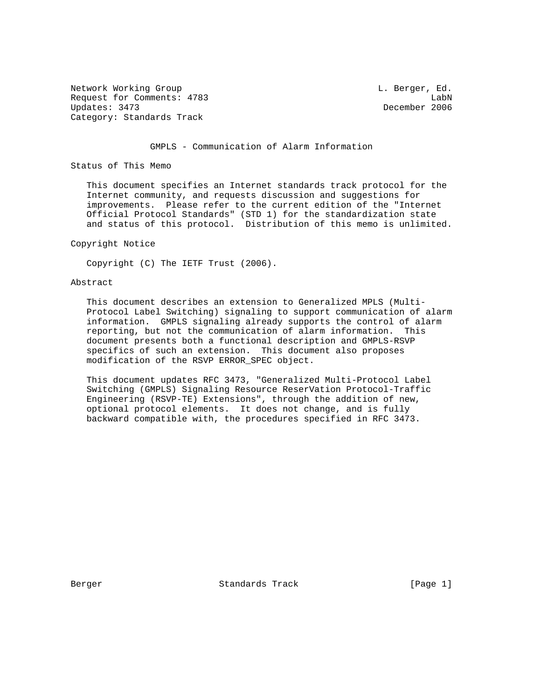Network Working Group and the contract of the contract of the contract of the contract of the contract of the contract of the contract of the contract of the contract of the contract of the contract of the contract of the Request for Comments: 4783 LabN<br>Updates: 3473 LabN Category: Standards Track

December 2006

GMPLS - Communication of Alarm Information

Status of This Memo

 This document specifies an Internet standards track protocol for the Internet community, and requests discussion and suggestions for improvements. Please refer to the current edition of the "Internet Official Protocol Standards" (STD 1) for the standardization state and status of this protocol. Distribution of this memo is unlimited.

Copyright Notice

Copyright (C) The IETF Trust (2006).

# Abstract

 This document describes an extension to Generalized MPLS (Multi- Protocol Label Switching) signaling to support communication of alarm information. GMPLS signaling already supports the control of alarm reporting, but not the communication of alarm information. This document presents both a functional description and GMPLS-RSVP specifics of such an extension. This document also proposes modification of the RSVP ERROR\_SPEC object.

 This document updates RFC 3473, "Generalized Multi-Protocol Label Switching (GMPLS) Signaling Resource ReserVation Protocol-Traffic Engineering (RSVP-TE) Extensions", through the addition of new, optional protocol elements. It does not change, and is fully backward compatible with, the procedures specified in RFC 3473.

Berger Standards Track [Page 1]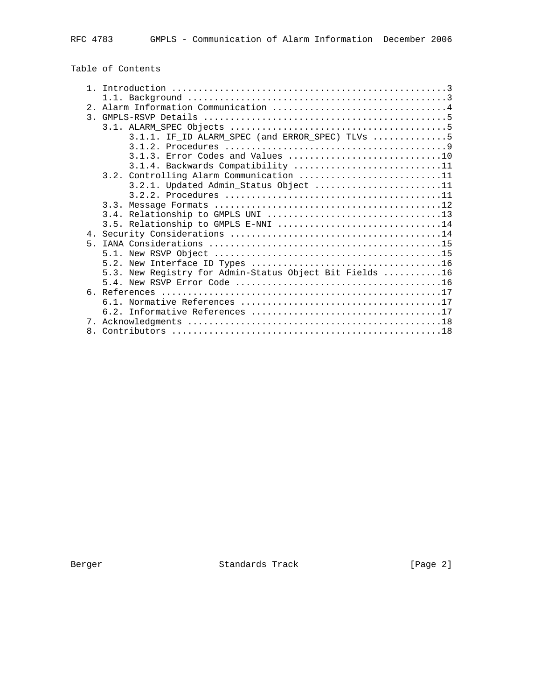|  |  |  | Table of Contents |
|--|--|--|-------------------|
|--|--|--|-------------------|

|       | 3.1.1. IF_ID ALARM_SPEC (and ERROR_SPEC) TLVs 5         |
|-------|---------------------------------------------------------|
|       |                                                         |
|       |                                                         |
|       | 3.1.4. Backwards Compatibility 11                       |
|       | 3.2. Controlling Alarm Communication 11                 |
|       | 3.2.1. Updated Admin_Status Object 11                   |
|       |                                                         |
|       |                                                         |
|       |                                                         |
|       | 3.5. Relationship to GMPLS E-NNI 14                     |
|       |                                                         |
| $5 -$ |                                                         |
|       |                                                         |
|       |                                                         |
|       | 5.3. New Registry for Admin-Status Object Bit Fields 16 |
|       |                                                         |
|       |                                                         |
|       |                                                         |
|       |                                                         |
|       |                                                         |
|       |                                                         |

Berger Standards Track [Page 2]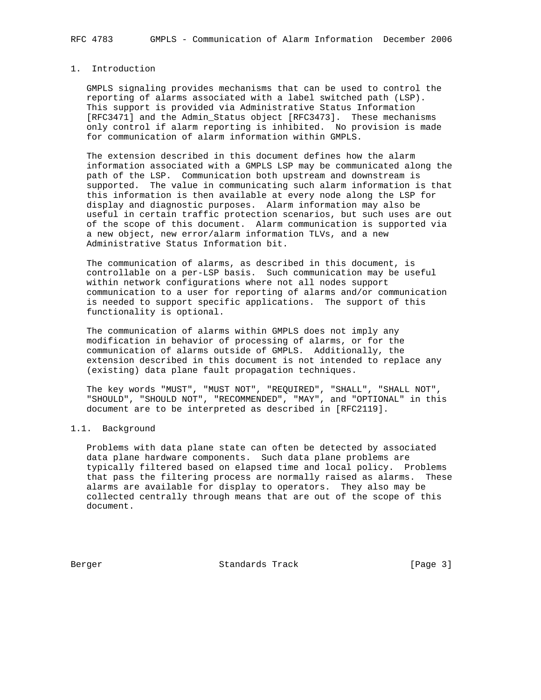# 1. Introduction

 GMPLS signaling provides mechanisms that can be used to control the reporting of alarms associated with a label switched path (LSP). This support is provided via Administrative Status Information [RFC3471] and the Admin\_Status object [RFC3473]. These mechanisms only control if alarm reporting is inhibited. No provision is made for communication of alarm information within GMPLS.

 The extension described in this document defines how the alarm information associated with a GMPLS LSP may be communicated along the path of the LSP. Communication both upstream and downstream is supported. The value in communicating such alarm information is that this information is then available at every node along the LSP for display and diagnostic purposes. Alarm information may also be useful in certain traffic protection scenarios, but such uses are out of the scope of this document. Alarm communication is supported via a new object, new error/alarm information TLVs, and a new Administrative Status Information bit.

 The communication of alarms, as described in this document, is controllable on a per-LSP basis. Such communication may be useful within network configurations where not all nodes support communication to a user for reporting of alarms and/or communication is needed to support specific applications. The support of this functionality is optional.

 The communication of alarms within GMPLS does not imply any modification in behavior of processing of alarms, or for the communication of alarms outside of GMPLS. Additionally, the extension described in this document is not intended to replace any (existing) data plane fault propagation techniques.

 The key words "MUST", "MUST NOT", "REQUIRED", "SHALL", "SHALL NOT", "SHOULD", "SHOULD NOT", "RECOMMENDED", "MAY", and "OPTIONAL" in this document are to be interpreted as described in [RFC2119].

# 1.1. Background

 Problems with data plane state can often be detected by associated data plane hardware components. Such data plane problems are typically filtered based on elapsed time and local policy. Problems that pass the filtering process are normally raised as alarms. These alarms are available for display to operators. They also may be collected centrally through means that are out of the scope of this document.

Berger Standards Track [Page 3]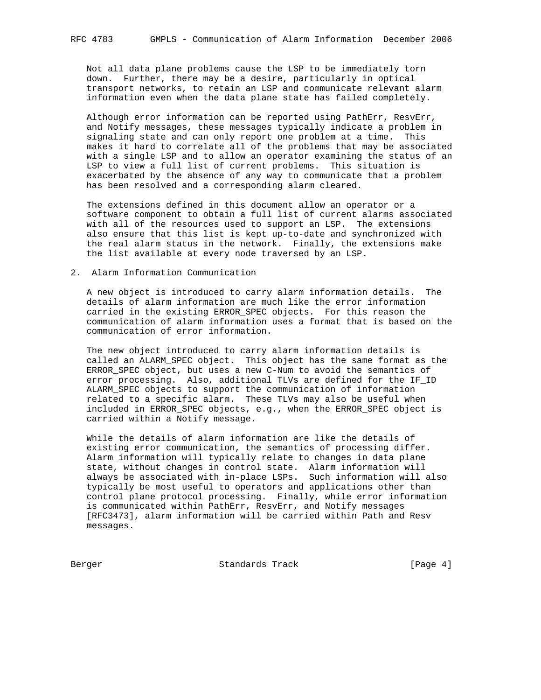Not all data plane problems cause the LSP to be immediately torn down. Further, there may be a desire, particularly in optical transport networks, to retain an LSP and communicate relevant alarm information even when the data plane state has failed completely.

 Although error information can be reported using PathErr, ResvErr, and Notify messages, these messages typically indicate a problem in signaling state and can only report one problem at a time. This makes it hard to correlate all of the problems that may be associated with a single LSP and to allow an operator examining the status of an LSP to view a full list of current problems. This situation is exacerbated by the absence of any way to communicate that a problem has been resolved and a corresponding alarm cleared.

 The extensions defined in this document allow an operator or a software component to obtain a full list of current alarms associated with all of the resources used to support an LSP. The extensions also ensure that this list is kept up-to-date and synchronized with the real alarm status in the network. Finally, the extensions make the list available at every node traversed by an LSP.

# 2. Alarm Information Communication

 A new object is introduced to carry alarm information details. The details of alarm information are much like the error information carried in the existing ERROR\_SPEC objects. For this reason the communication of alarm information uses a format that is based on the communication of error information.

 The new object introduced to carry alarm information details is called an ALARM\_SPEC object. This object has the same format as the ERROR\_SPEC object, but uses a new C-Num to avoid the semantics of error processing. Also, additional TLVs are defined for the IF\_ID ALARM\_SPEC objects to support the communication of information related to a specific alarm. These TLVs may also be useful when included in ERROR\_SPEC objects, e.g., when the ERROR\_SPEC object is carried within a Notify message.

 While the details of alarm information are like the details of existing error communication, the semantics of processing differ. Alarm information will typically relate to changes in data plane state, without changes in control state. Alarm information will always be associated with in-place LSPs. Such information will also typically be most useful to operators and applications other than control plane protocol processing. Finally, while error information is communicated within PathErr, ResvErr, and Notify messages [RFC3473], alarm information will be carried within Path and Resv messages.

Berger Standards Track [Page 4]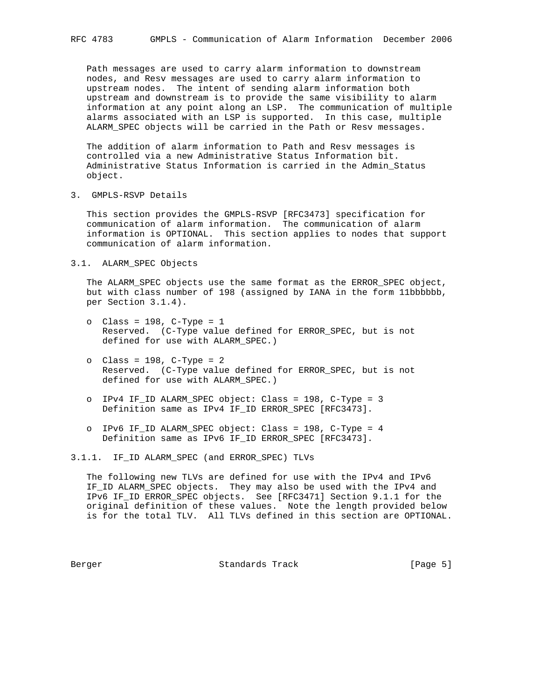Path messages are used to carry alarm information to downstream nodes, and Resv messages are used to carry alarm information to upstream nodes. The intent of sending alarm information both upstream and downstream is to provide the same visibility to alarm information at any point along an LSP. The communication of multiple alarms associated with an LSP is supported. In this case, multiple ALARM\_SPEC objects will be carried in the Path or Resv messages.

 The addition of alarm information to Path and Resv messages is controlled via a new Administrative Status Information bit. Administrative Status Information is carried in the Admin\_Status object.

3. GMPLS-RSVP Details

 This section provides the GMPLS-RSVP [RFC3473] specification for communication of alarm information. The communication of alarm information is OPTIONAL. This section applies to nodes that support communication of alarm information.

## 3.1. ALARM\_SPEC Objects

 The ALARM\_SPEC objects use the same format as the ERROR\_SPEC object, but with class number of 198 (assigned by IANA in the form 11bbbbbb, per Section 3.1.4).

- o Class = 198, C-Type = 1 Reserved. (C-Type value defined for ERROR\_SPEC, but is not defined for use with ALARM\_SPEC.)
- o Class = 198, C-Type = 2 Reserved. (C-Type value defined for ERROR\_SPEC, but is not defined for use with ALARM\_SPEC.)
- o IPv4 IF\_ID ALARM\_SPEC object: Class = 198, C-Type = 3 Definition same as IPv4 IF\_ID ERROR\_SPEC [RFC3473].
- o IPv6 IF\_ID ALARM\_SPEC object: Class = 198, C-Type = 4 Definition same as IPv6 IF\_ID ERROR\_SPEC [RFC3473].

3.1.1. IF\_ID ALARM\_SPEC (and ERROR\_SPEC) TLVs

 The following new TLVs are defined for use with the IPv4 and IPv6 IF\_ID ALARM\_SPEC objects. They may also be used with the IPv4 and IPv6 IF ID ERROR SPEC objects. See [RFC3471] Section 9.1.1 for the original definition of these values. Note the length provided below is for the total TLV. All TLVs defined in this section are OPTIONAL.

Berger Chamber Standards Track Chamber (Page 5)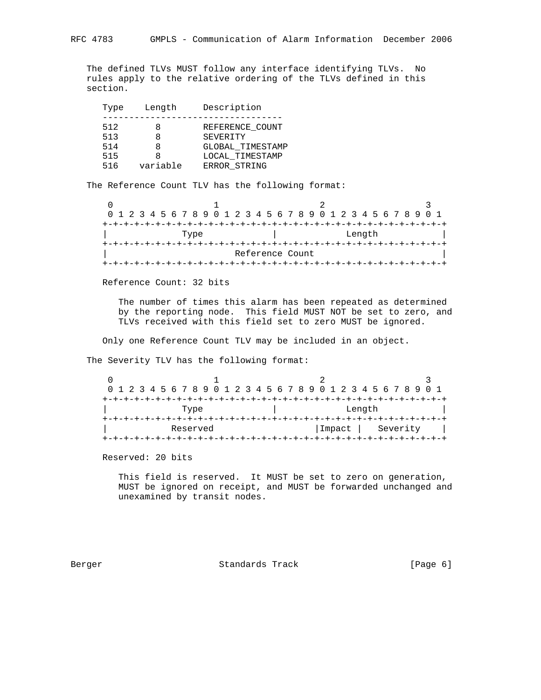The defined TLVs MUST follow any interface identifying TLVs. No rules apply to the relative ordering of the TLVs defined in this section.

| Type       | Length   | Description                         |
|------------|----------|-------------------------------------|
| 512<br>513 | 8        | REFERENCE COUNT<br>SEVERITY         |
| 514<br>515 | x        | GLOBAL TIMESTAMP<br>LOCAL_TIMESTAMP |
| 516        | variable | ERROR_STRING                        |

The Reference Count TLV has the following format:

|      |  | 0 1 2 3 4 5 6 7 8 9 0 1 2 3 4 5 6 7 8 9 0 1 2 3 4 5 6 7 8 9 0 1 |  |  |  |  |  |  |  |  |  |  |                 |  |  |        |  |  |  |  |  |  |
|------|--|-----------------------------------------------------------------|--|--|--|--|--|--|--|--|--|--|-----------------|--|--|--------|--|--|--|--|--|--|
|      |  |                                                                 |  |  |  |  |  |  |  |  |  |  |                 |  |  |        |  |  |  |  |  |  |
| Type |  |                                                                 |  |  |  |  |  |  |  |  |  |  |                 |  |  | Length |  |  |  |  |  |  |
|      |  |                                                                 |  |  |  |  |  |  |  |  |  |  |                 |  |  |        |  |  |  |  |  |  |
|      |  |                                                                 |  |  |  |  |  |  |  |  |  |  | Reference Count |  |  |        |  |  |  |  |  |  |
|      |  |                                                                 |  |  |  |  |  |  |  |  |  |  |                 |  |  |        |  |  |  |  |  |  |

Reference Count: 32 bits

 The number of times this alarm has been repeated as determined by the reporting node. This field MUST NOT be set to zero, and TLVs received with this field set to zero MUST be ignored.

Only one Reference Count TLV may be included in an object.

The Severity TLV has the following format:

|          |  |  |  |  |  |  | 0 1 2 3 4 5 6 7 8 9 0 1 2 3 4 5 6 7 8 9 0 1 2 3 4 5 6 7 8 9 0 1 |  |  |  |  |  |  |        |  |  |  |          |  |  |  |  |  |
|----------|--|--|--|--|--|--|-----------------------------------------------------------------|--|--|--|--|--|--|--------|--|--|--|----------|--|--|--|--|--|
|          |  |  |  |  |  |  |                                                                 |  |  |  |  |  |  |        |  |  |  |          |  |  |  |  |  |
| Type     |  |  |  |  |  |  |                                                                 |  |  |  |  |  |  |        |  |  |  | Length   |  |  |  |  |  |
|          |  |  |  |  |  |  |                                                                 |  |  |  |  |  |  |        |  |  |  |          |  |  |  |  |  |
| Reserved |  |  |  |  |  |  |                                                                 |  |  |  |  |  |  | Impact |  |  |  | Severity |  |  |  |  |  |
|          |  |  |  |  |  |  |                                                                 |  |  |  |  |  |  |        |  |  |  |          |  |  |  |  |  |

Reserved: 20 bits

 This field is reserved. It MUST be set to zero on generation, MUST be ignored on receipt, and MUST be forwarded unchanged and unexamined by transit nodes.

Berger Standards Track [Page 6]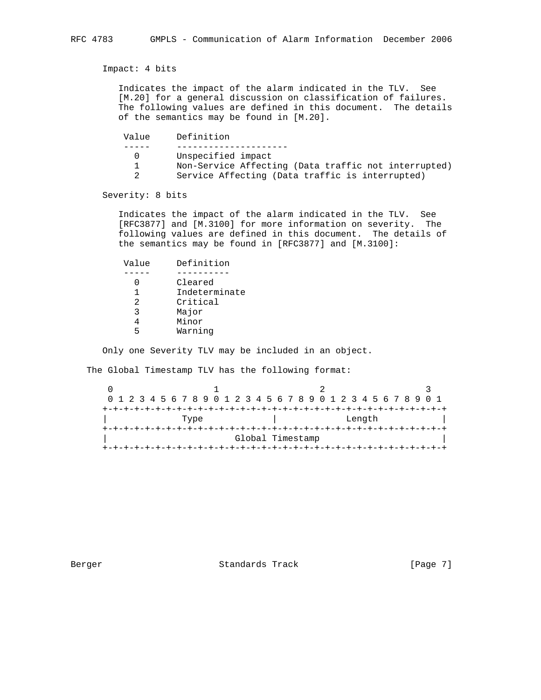Impact: 4 bits

 Indicates the impact of the alarm indicated in the TLV. See [M.20] for a general discussion on classification of failures. The following values are defined in this document. The details of the semantics may be found in [M.20].

 Value Definition ----- --------------------- 0 Unspecified impact 1 Non-Service Affecting (Data traffic not interrupted) 2 Service Affecting (Data traffic is interrupted)

Severity: 8 bits

 Indicates the impact of the alarm indicated in the TLV. See [RFC3877] and [M.3100] for more information on severity. The following values are defined in this document. The details of the semantics may be found in [RFC3877] and [M.3100]:

| Value | Definition    |
|-------|---------------|
|       |               |
|       | Cleared       |
|       | Indeterminate |
| 2     | Critical      |
| ζ     | Major         |
|       | Minor         |
| ҕ     | Warning       |

Only one Severity TLV may be included in an object.

The Global Timestamp TLV has the following format:

|      |  |  |  |  |  |  |  |  |  |  |  |  |  |  |                                |        |  |  |  | 0 1 2 3 4 5 6 7 8 9 0 1 2 3 4 5 6 7 8 9 0 1 2 3 4 5 6 7 8 9 0 1 |  |  |
|------|--|--|--|--|--|--|--|--|--|--|--|--|--|--|--------------------------------|--------|--|--|--|-----------------------------------------------------------------|--|--|
|      |  |  |  |  |  |  |  |  |  |  |  |  |  |  |                                |        |  |  |  |                                                                 |  |  |
| Type |  |  |  |  |  |  |  |  |  |  |  |  |  |  |                                | Length |  |  |  |                                                                 |  |  |
|      |  |  |  |  |  |  |  |  |  |  |  |  |  |  | +-+-+-+-+-+-+-+-+-+-+-+-+-+-+- |        |  |  |  |                                                                 |  |  |
|      |  |  |  |  |  |  |  |  |  |  |  |  |  |  | Global Timestamp               |        |  |  |  |                                                                 |  |  |
|      |  |  |  |  |  |  |  |  |  |  |  |  |  |  |                                |        |  |  |  |                                                                 |  |  |

Berger Standards Track [Page 7]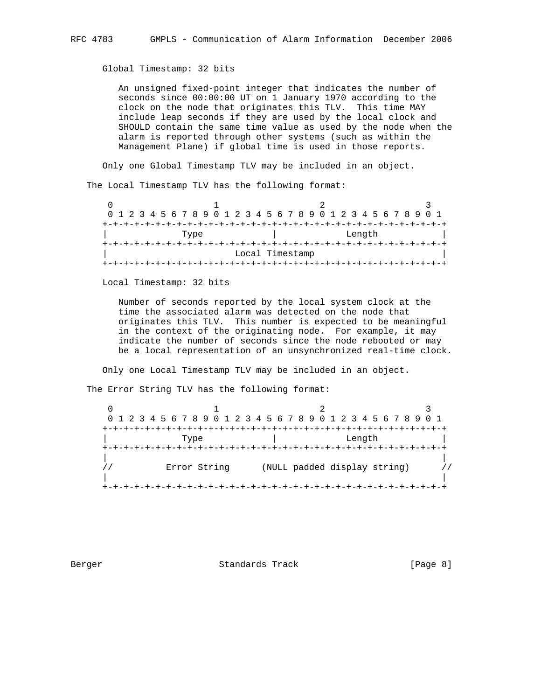Global Timestamp: 32 bits

 An unsigned fixed-point integer that indicates the number of seconds since 00:00:00 UT on 1 January 1970 according to the clock on the node that originates this TLV. This time MAY include leap seconds if they are used by the local clock and SHOULD contain the same time value as used by the node when the alarm is reported through other systems (such as within the Management Plane) if global time is used in those reports.

Only one Global Timestamp TLV may be included in an object.

The Local Timestamp TLV has the following format:

| 0 1 2 3 4 5 6 7 8 9 0 1 2 3 4 5 6 7 8 9 0 1 2 3 4 5 6 7 8 9 0 1 |  |  |  |  |  |  |  |  |  |  |  |  |  |  |  |  |        |  |  |  |  |  |
|-----------------------------------------------------------------|--|--|--|--|--|--|--|--|--|--|--|--|--|--|--|--|--------|--|--|--|--|--|
|                                                                 |  |  |  |  |  |  |  |  |  |  |  |  |  |  |  |  |        |  |  |  |  |  |
| Type                                                            |  |  |  |  |  |  |  |  |  |  |  |  |  |  |  |  | Length |  |  |  |  |  |
|                                                                 |  |  |  |  |  |  |  |  |  |  |  |  |  |  |  |  |        |  |  |  |  |  |
| Local Timestamp                                                 |  |  |  |  |  |  |  |  |  |  |  |  |  |  |  |  |        |  |  |  |  |  |
|                                                                 |  |  |  |  |  |  |  |  |  |  |  |  |  |  |  |  |        |  |  |  |  |  |

Local Timestamp: 32 bits

 Number of seconds reported by the local system clock at the time the associated alarm was detected on the node that originates this TLV. This number is expected to be meaningful in the context of the originating node. For example, it may indicate the number of seconds since the node rebooted or may be a local representation of an unsynchronized real-time clock.

Only one Local Timestamp TLV may be included in an object.

The Error String TLV has the following format:

|              | 0 1 2 3 4 5 6 7 8 9 0 1 2 3 4 5 6 7 8 9 0 1 2 3 4 5 6 7 8 9 0 1 |  |
|--------------|-----------------------------------------------------------------|--|
|              |                                                                 |  |
| Type         | Length                                                          |  |
|              |                                                                 |  |
|              |                                                                 |  |
| Error String | (NULL padded display string)                                    |  |
|              |                                                                 |  |
|              |                                                                 |  |

Berger Standards Track [Page 8]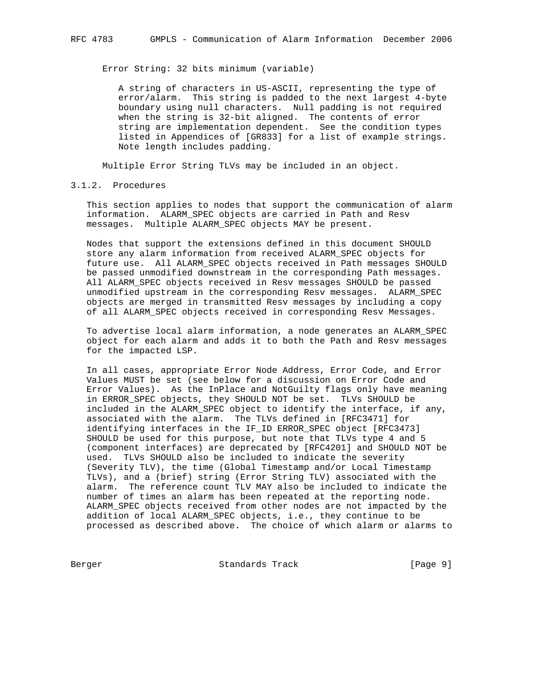Error String: 32 bits minimum (variable)

 A string of characters in US-ASCII, representing the type of error/alarm. This string is padded to the next largest 4-byte boundary using null characters. Null padding is not required when the string is 32-bit aligned. The contents of error string are implementation dependent. See the condition types listed in Appendices of [GR833] for a list of example strings. Note length includes padding.

Multiple Error String TLVs may be included in an object.

3.1.2. Procedures

 This section applies to nodes that support the communication of alarm information. ALARM\_SPEC objects are carried in Path and Resv messages. Multiple ALARM\_SPEC objects MAY be present.

 Nodes that support the extensions defined in this document SHOULD store any alarm information from received ALARM\_SPEC objects for future use. All ALARM\_SPEC objects received in Path messages SHOULD be passed unmodified downstream in the corresponding Path messages. All ALARM\_SPEC objects received in Resv messages SHOULD be passed unmodified upstream in the corresponding Resv messages. ALARM\_SPEC objects are merged in transmitted Resv messages by including a copy of all ALARM\_SPEC objects received in corresponding Resv Messages.

 To advertise local alarm information, a node generates an ALARM\_SPEC object for each alarm and adds it to both the Path and Resv messages for the impacted LSP.

 In all cases, appropriate Error Node Address, Error Code, and Error Values MUST be set (see below for a discussion on Error Code and Error Values). As the InPlace and NotGuilty flags only have meaning in ERROR\_SPEC objects, they SHOULD NOT be set. TLVs SHOULD be included in the ALARM\_SPEC object to identify the interface, if any, associated with the alarm. The TLVs defined in [RFC3471] for identifying interfaces in the IF\_ID ERROR\_SPEC object [RFC3473] SHOULD be used for this purpose, but note that TLVs type 4 and 5 (component interfaces) are deprecated by [RFC4201] and SHOULD NOT be used. TLVs SHOULD also be included to indicate the severity (Severity TLV), the time (Global Timestamp and/or Local Timestamp TLVs), and a (brief) string (Error String TLV) associated with the alarm. The reference count TLV MAY also be included to indicate the number of times an alarm has been repeated at the reporting node. ALARM\_SPEC objects received from other nodes are not impacted by the addition of local ALARM\_SPEC objects, i.e., they continue to be processed as described above. The choice of which alarm or alarms to

Berger Standards Track [Page 9]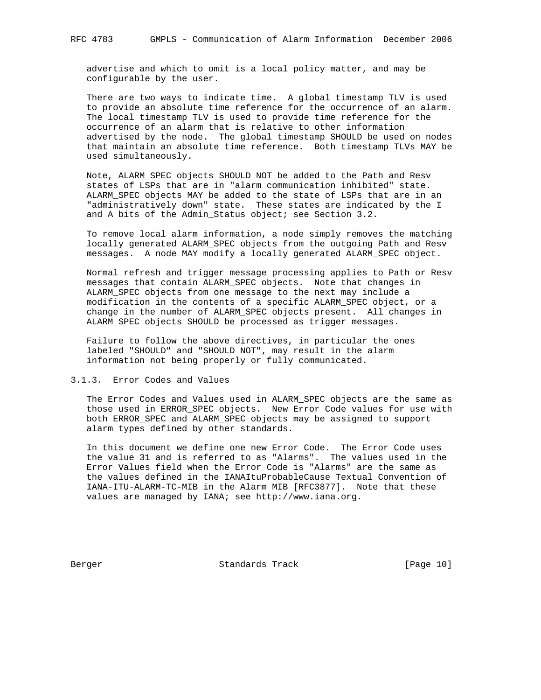advertise and which to omit is a local policy matter, and may be configurable by the user.

There are two ways to indicate time. A global timestamp TLV is used to provide an absolute time reference for the occurrence of an alarm. The local timestamp TLV is used to provide time reference for the occurrence of an alarm that is relative to other information advertised by the node. The global timestamp SHOULD be used on nodes that maintain an absolute time reference. Both timestamp TLVs MAY be used simultaneously.

 Note, ALARM\_SPEC objects SHOULD NOT be added to the Path and Resv states of LSPs that are in "alarm communication inhibited" state. ALARM\_SPEC objects MAY be added to the state of LSPs that are in an "administratively down" state. These states are indicated by the I and A bits of the Admin\_Status object; see Section 3.2.

 To remove local alarm information, a node simply removes the matching locally generated ALARM\_SPEC objects from the outgoing Path and Resv messages. A node MAY modify a locally generated ALARM\_SPEC object.

 Normal refresh and trigger message processing applies to Path or Resv messages that contain ALARM\_SPEC objects. Note that changes in ALARM\_SPEC objects from one message to the next may include a modification in the contents of a specific ALARM\_SPEC object, or a change in the number of ALARM\_SPEC objects present. All changes in ALARM\_SPEC objects SHOULD be processed as trigger messages.

 Failure to follow the above directives, in particular the ones labeled "SHOULD" and "SHOULD NOT", may result in the alarm information not being properly or fully communicated.

3.1.3. Error Codes and Values

 The Error Codes and Values used in ALARM\_SPEC objects are the same as those used in ERROR\_SPEC objects. New Error Code values for use with both ERROR\_SPEC and ALARM\_SPEC objects may be assigned to support alarm types defined by other standards.

 In this document we define one new Error Code. The Error Code uses the value 31 and is referred to as "Alarms". The values used in the Error Values field when the Error Code is "Alarms" are the same as the values defined in the IANAItuProbableCause Textual Convention of IANA-ITU-ALARM-TC-MIB in the Alarm MIB [RFC3877]. Note that these values are managed by IANA; see http://www.iana.org.

Berger Standards Track [Page 10]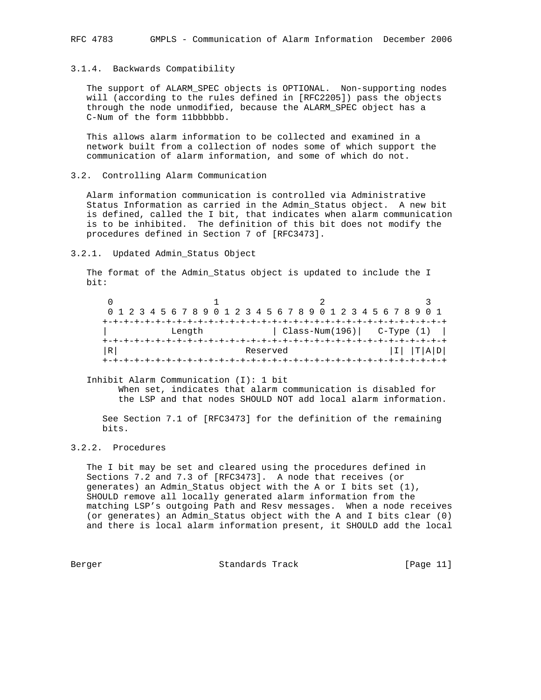# 3.1.4. Backwards Compatibility

 The support of ALARM\_SPEC objects is OPTIONAL. Non-supporting nodes will (according to the rules defined in [RFC2205]) pass the objects through the node unmodified, because the ALARM\_SPEC object has a C-Num of the form 11bbbbbb.

 This allows alarm information to be collected and examined in a network built from a collection of nodes some of which support the communication of alarm information, and some of which do not.

3.2. Controlling Alarm Communication

 Alarm information communication is controlled via Administrative Status Information as carried in the Admin\_Status object. A new bit is defined, called the I bit, that indicates when alarm communication is to be inhibited. The definition of this bit does not modify the procedures defined in Section 7 of [RFC3473].

### 3.2.1. Updated Admin\_Status Object

 The format of the Admin\_Status object is updated to include the I bit:

|   |  |  |  |        |  |  |  |          |  |  |  |  |  |  | 0 1 2 3 4 5 6 7 8 9 0 1 2 3 4 5 6 7 8 9 0 1 2 3 4 5 6 7 8 9 0 1 |     |  |
|---|--|--|--|--------|--|--|--|----------|--|--|--|--|--|--|-----------------------------------------------------------------|-----|--|
|   |  |  |  |        |  |  |  |          |  |  |  |  |  |  |                                                                 |     |  |
|   |  |  |  | Length |  |  |  |          |  |  |  |  |  |  | $Class-Num(196)$ $C-Type(1)$                                    |     |  |
|   |  |  |  |        |  |  |  |          |  |  |  |  |  |  |                                                                 |     |  |
| R |  |  |  |        |  |  |  | Reserved |  |  |  |  |  |  |                                                                 | ADI |  |
|   |  |  |  |        |  |  |  |          |  |  |  |  |  |  |                                                                 |     |  |

Inhibit Alarm Communication (I): 1 bit

 When set, indicates that alarm communication is disabled for the LSP and that nodes SHOULD NOT add local alarm information.

 See Section 7.1 of [RFC3473] for the definition of the remaining bits.

# 3.2.2. Procedures

 The I bit may be set and cleared using the procedures defined in Sections 7.2 and 7.3 of [RFC3473]. A node that receives (or generates) an Admin\_Status object with the A or I bits set (1), SHOULD remove all locally generated alarm information from the matching LSP's outgoing Path and Resv messages. When a node receives (or generates) an Admin\_Status object with the A and I bits clear (0) and there is local alarm information present, it SHOULD add the local

Berger Standards Track [Page 11]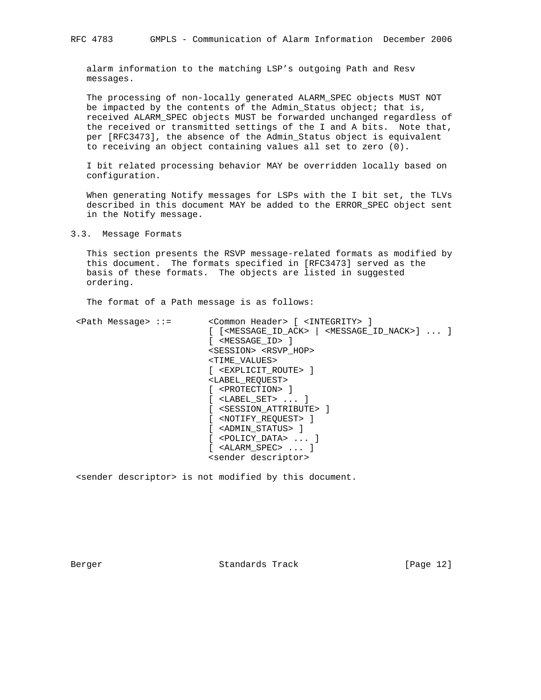alarm information to the matching LSP's outgoing Path and Resv messages.

 The processing of non-locally generated ALARM\_SPEC objects MUST NOT be impacted by the contents of the Admin\_Status object; that is, received ALARM\_SPEC objects MUST be forwarded unchanged regardless of the received or transmitted settings of the I and A bits. Note that, per [RFC3473], the absence of the Admin\_Status object is equivalent to receiving an object containing values all set to zero (0).

 I bit related processing behavior MAY be overridden locally based on configuration.

 When generating Notify messages for LSPs with the I bit set, the TLVs described in this document MAY be added to the ERROR\_SPEC object sent in the Notify message.

3.3. Message Formats

 This section presents the RSVP message-related formats as modified by this document. The formats specified in [RFC3473] served as the basis of these formats. The objects are listed in suggested ordering.

The format of a Path message is as follows:

 <Path Message> ::= <Common Header> [ <INTEGRITY> ] [ [<MESSAGE\_ID\_ACK> | <MESSAGE\_ID\_NACK>] ... ] [ <MESSAGE\_ID> ] <SESSION> <RSVP\_HOP> <TIME\_VALUES> [ <EXPLICIT\_ROUTE> ] <LABEL\_REQUEST> [ <PROTECTION> ] [ <LABEL\_SET> ... ] [ <SESSION\_ATTRIBUTE> ] [ <NOTIFY\_REQUEST> ] [ <ADMIN\_STATUS> ] [ <POLICY\_DATA> ... ] [ <ALARM\_SPEC> ... ] <sender descriptor>

<sender descriptor> is not modified by this document.

Berger Standards Track [Page 12]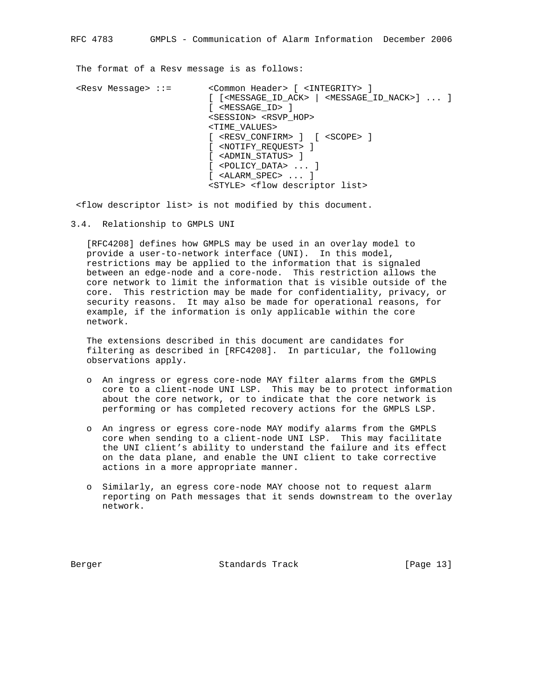The format of a Resv message is as follows:

 <Resv Message> ::= <Common Header> [ <INTEGRITY> ] [ [<MESSAGE\_ID\_ACK> | <MESSAGE\_ID\_NACK>] ... ] [ <MESSAGE\_ID> ] <SESSION> <RSVP\_HOP> <TIME\_VALUES> [ <RESV\_CONFIRM> ] [ <SCOPE> ] [ <NOTIFY\_REQUEST> ] [ <ADMIN\_STATUS> ] [ <POLICY\_DATA> ... ] [ <ALARM\_SPEC> ... ] <STYLE> <flow descriptor list>

<flow descriptor list> is not modified by this document.

3.4. Relationship to GMPLS UNI

 [RFC4208] defines how GMPLS may be used in an overlay model to provide a user-to-network interface (UNI). In this model, restrictions may be applied to the information that is signaled between an edge-node and a core-node. This restriction allows the core network to limit the information that is visible outside of the core. This restriction may be made for confidentiality, privacy, or security reasons. It may also be made for operational reasons, for example, if the information is only applicable within the core network.

 The extensions described in this document are candidates for filtering as described in [RFC4208]. In particular, the following observations apply.

- o An ingress or egress core-node MAY filter alarms from the GMPLS core to a client-node UNI LSP. This may be to protect information about the core network, or to indicate that the core network is performing or has completed recovery actions for the GMPLS LSP.
- o An ingress or egress core-node MAY modify alarms from the GMPLS core when sending to a client-node UNI LSP. This may facilitate the UNI client's ability to understand the failure and its effect on the data plane, and enable the UNI client to take corrective actions in a more appropriate manner.
- o Similarly, an egress core-node MAY choose not to request alarm reporting on Path messages that it sends downstream to the overlay network.

Berger Standards Track [Page 13]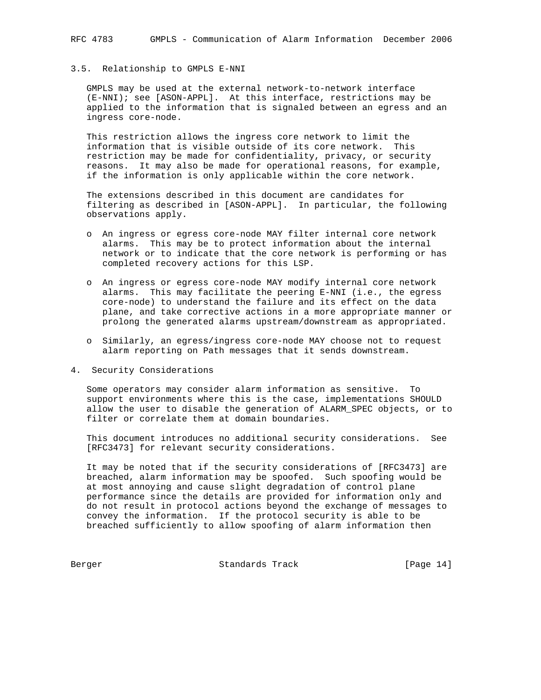# 3.5. Relationship to GMPLS E-NNI

 GMPLS may be used at the external network-to-network interface (E-NNI); see [ASON-APPL]. At this interface, restrictions may be applied to the information that is signaled between an egress and an ingress core-node.

 This restriction allows the ingress core network to limit the information that is visible outside of its core network. This restriction may be made for confidentiality, privacy, or security reasons. It may also be made for operational reasons, for example, if the information is only applicable within the core network.

 The extensions described in this document are candidates for filtering as described in [ASON-APPL]. In particular, the following observations apply.

- o An ingress or egress core-node MAY filter internal core network alarms. This may be to protect information about the internal network or to indicate that the core network is performing or has completed recovery actions for this LSP.
- o An ingress or egress core-node MAY modify internal core network alarms. This may facilitate the peering E-NNI (i.e., the egress core-node) to understand the failure and its effect on the data plane, and take corrective actions in a more appropriate manner or prolong the generated alarms upstream/downstream as appropriated.
- o Similarly, an egress/ingress core-node MAY choose not to request alarm reporting on Path messages that it sends downstream.
- 4. Security Considerations

 Some operators may consider alarm information as sensitive. To support environments where this is the case, implementations SHOULD allow the user to disable the generation of ALARM\_SPEC objects, or to filter or correlate them at domain boundaries.

 This document introduces no additional security considerations. See [RFC3473] for relevant security considerations.

 It may be noted that if the security considerations of [RFC3473] are breached, alarm information may be spoofed. Such spoofing would be at most annoying and cause slight degradation of control plane performance since the details are provided for information only and do not result in protocol actions beyond the exchange of messages to convey the information. If the protocol security is able to be breached sufficiently to allow spoofing of alarm information then

Berger Standards Track [Page 14]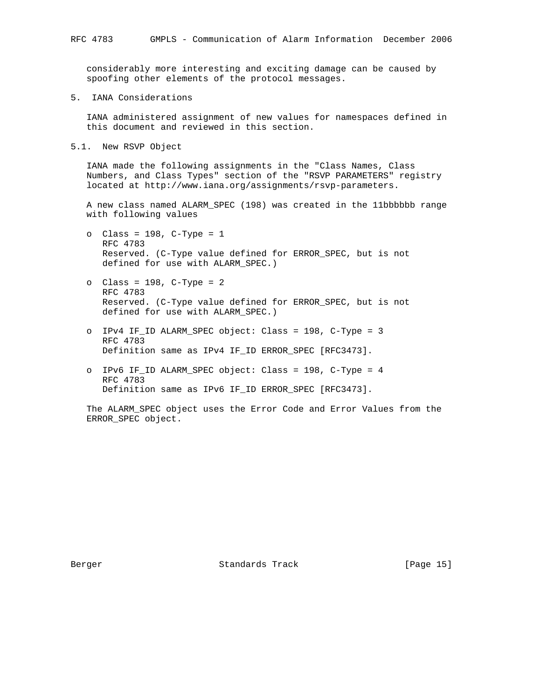considerably more interesting and exciting damage can be caused by spoofing other elements of the protocol messages.

5. IANA Considerations

 IANA administered assignment of new values for namespaces defined in this document and reviewed in this section.

5.1. New RSVP Object

 IANA made the following assignments in the "Class Names, Class Numbers, and Class Types" section of the "RSVP PARAMETERS" registry located at http://www.iana.org/assignments/rsvp-parameters.

 A new class named ALARM\_SPEC (198) was created in the 11bbbbbb range with following values

- o Class = 198, C-Type = 1 RFC 4783 Reserved. (C-Type value defined for ERROR\_SPEC, but is not defined for use with ALARM\_SPEC.)
- o Class = 198, C-Type = 2 RFC 4783 Reserved. (C-Type value defined for ERROR\_SPEC, but is not defined for use with ALARM\_SPEC.)
- o IPv4 IF\_ID ALARM\_SPEC object: Class = 198, C-Type = 3 RFC 4783 Definition same as IPv4 IF\_ID ERROR\_SPEC [RFC3473].
- o IPv6 IF\_ID ALARM\_SPEC object: Class = 198, C-Type = 4 RFC 4783 Definition same as IPv6 IF\_ID ERROR\_SPEC [RFC3473].

 The ALARM\_SPEC object uses the Error Code and Error Values from the ERROR\_SPEC object.

Berger Standards Track [Page 15]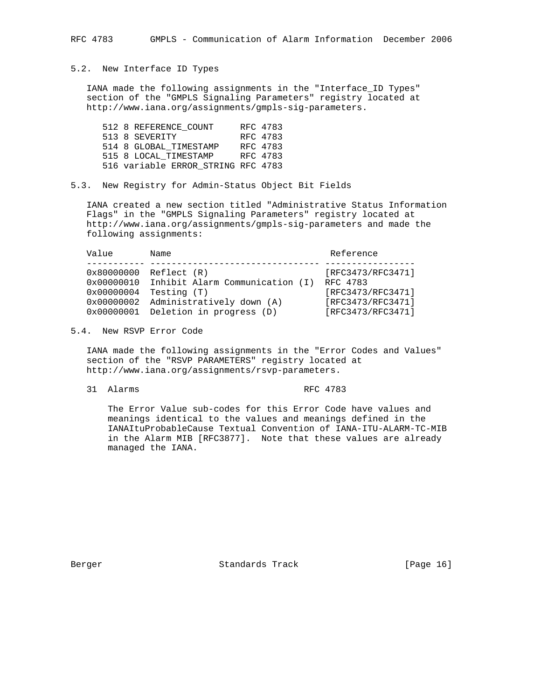# 5.2. New Interface ID Types

 IANA made the following assignments in the "Interface\_ID Types" section of the "GMPLS Signaling Parameters" registry located at http://www.iana.org/assignments/gmpls-sig-parameters.

|  | 512 8 REFERENCE COUNT              | RFC 4783 |
|--|------------------------------------|----------|
|  | 513 8 SEVERITY                     | RFC 4783 |
|  | 514 8 GLOBAL TIMESTAMP             | RFC 4783 |
|  | 515 8 LOCAL TIMESTAMP              | RFC 4783 |
|  | 516 variable ERROR STRING RFC 4783 |          |

5.3. New Registry for Admin-Status Object Bit Fields

 IANA created a new section titled "Administrative Status Information Flags" in the "GMPLS Signaling Parameters" registry located at http://www.iana.org/assignments/gmpls-sig-parameters and made the following assignments:

| Value                                                                       | Name                                                                                                                   | Reference                                                                                    |
|-----------------------------------------------------------------------------|------------------------------------------------------------------------------------------------------------------------|----------------------------------------------------------------------------------------------|
| 0x80000000<br>$0 \times 00000010$<br>0x00000004<br>0x00000002<br>0x00000001 | Reflect (R)<br>Inhibit Alarm Communication (I)<br>Testing (T)<br>Administratively down (A)<br>Deletion in progress (D) | [RFC3473/RFC3471]<br>RFC 4783<br>[RFC3473/RFC3471]<br>[RFC3473/RFC3471]<br>[RFC3473/RFC3471] |
|                                                                             |                                                                                                                        |                                                                                              |

5.4. New RSVP Error Code

 IANA made the following assignments in the "Error Codes and Values" section of the "RSVP PARAMETERS" registry located at http://www.iana.org/assignments/rsvp-parameters.

31 Alarms RFC 4783

 The Error Value sub-codes for this Error Code have values and meanings identical to the values and meanings defined in the IANAItuProbableCause Textual Convention of IANA-ITU-ALARM-TC-MIB in the Alarm MIB [RFC3877]. Note that these values are already managed the IANA.

Berger Standards Track [Page 16]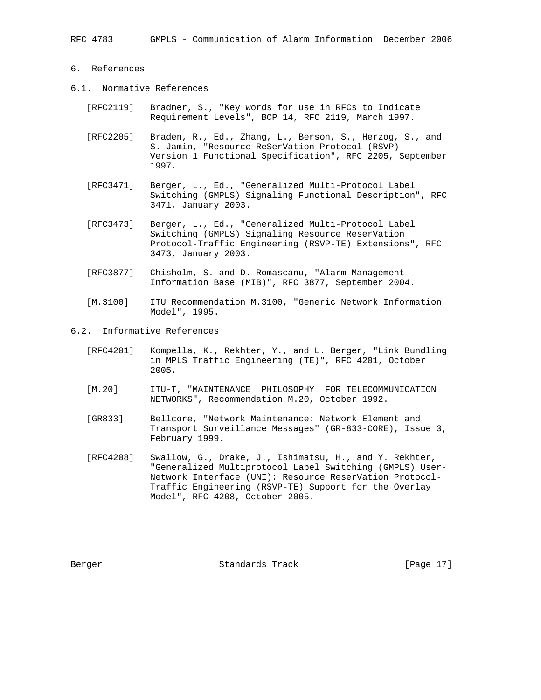# 6. References

- 6.1. Normative References
	- [RFC2119] Bradner, S., "Key words for use in RFCs to Indicate Requirement Levels", BCP 14, RFC 2119, March 1997.
	- [RFC2205] Braden, R., Ed., Zhang, L., Berson, S., Herzog, S., and S. Jamin, "Resource ReSerVation Protocol (RSVP) -- Version 1 Functional Specification", RFC 2205, September 1997.
	- [RFC3471] Berger, L., Ed., "Generalized Multi-Protocol Label Switching (GMPLS) Signaling Functional Description", RFC 3471, January 2003.
	- [RFC3473] Berger, L., Ed., "Generalized Multi-Protocol Label Switching (GMPLS) Signaling Resource ReserVation Protocol-Traffic Engineering (RSVP-TE) Extensions", RFC 3473, January 2003.
	- [RFC3877] Chisholm, S. and D. Romascanu, "Alarm Management Information Base (MIB)", RFC 3877, September 2004.
	- [M.3100] ITU Recommendation M.3100, "Generic Network Information Model", 1995.
- 6.2. Informative References
	- [RFC4201] Kompella, K., Rekhter, Y., and L. Berger, "Link Bundling in MPLS Traffic Engineering (TE)", RFC 4201, October 2005.
	- [M.20] ITU-T, "MAINTENANCE PHILOSOPHY FOR TELECOMMUNICATION NETWORKS", Recommendation M.20, October 1992.
	- [GR833] Bellcore, "Network Maintenance: Network Element and Transport Surveillance Messages" (GR-833-CORE), Issue 3, February 1999.
	- [RFC4208] Swallow, G., Drake, J., Ishimatsu, H., and Y. Rekhter, "Generalized Multiprotocol Label Switching (GMPLS) User- Network Interface (UNI): Resource ReserVation Protocol- Traffic Engineering (RSVP-TE) Support for the Overlay Model", RFC 4208, October 2005.

Berger Standards Track [Page 17]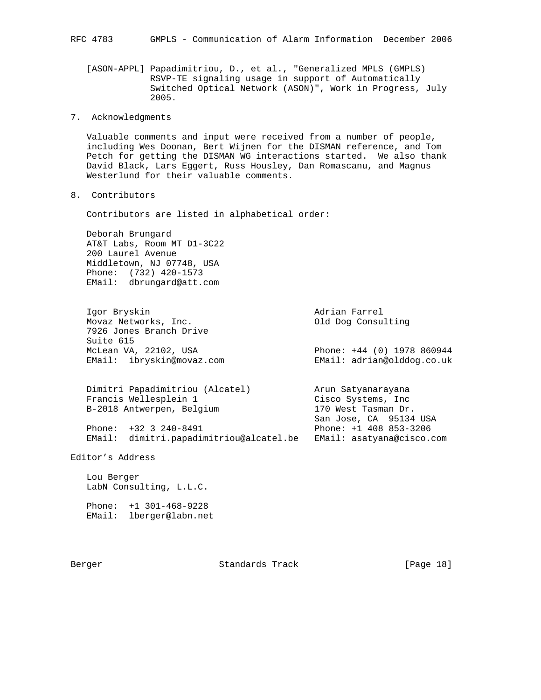[ASON-APPL] Papadimitriou, D., et al., "Generalized MPLS (GMPLS) RSVP-TE signaling usage in support of Automatically Switched Optical Network (ASON)", Work in Progress, July 2005.

7. Acknowledgments

 Valuable comments and input were received from a number of people, including Wes Doonan, Bert Wijnen for the DISMAN reference, and Tom Petch for getting the DISMAN WG interactions started. We also thank David Black, Lars Eggert, Russ Housley, Dan Romascanu, and Magnus Westerlund for their valuable comments.

8. Contributors

Contributors are listed in alphabetical order:

 Deborah Brungard AT&T Labs, Room MT D1-3C22 200 Laurel Avenue Middletown, NJ 07748, USA Phone: (732) 420-1573 EMail: dbrungard@att.com

 Igor Bryskin Adrian Farrel Movaz Networks, Inc. The Consulting Consulting 7926 Jones Branch Drive Suite 615 McLean VA, 22102, USA Phone: +44 (0) 1978 860944 EMail: ibryskin@movaz.com EMail: adrian@olddog.co.uk

 Dimitri Papadimitriou (Alcatel) Arun Satyanarayana Francis Wellesplein 1 and Cisco Systems, Inc. B-2018 Antwerpen, Belgium 170 West Tasman Dr. San Jose, CA 95134 USA Phone: +32 3 240-8491 Phone: +1 408 853-3206 EMail: dimitri.papadimitriou@alcatel.be EMail: asatyana@cisco.com

Editor's Address

 Lou Berger LabN Consulting, L.L.C.

 Phone: +1 301-468-9228 EMail: lberger@labn.net

Berger Standards Track [Page 18]